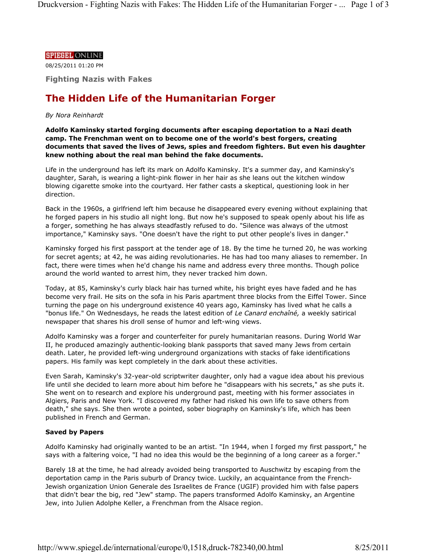#### **SPIEGEL ONLINE**

08/25/2011 01:20 PM

**Fighting Nazis with Fakes**

# **The Hidden Life of the Humanitarian Forger**

# *By Nora Reinhardt*

**Adolfo Kaminsky started forging documents after escaping deportation to a Nazi death camp. The Frenchman went on to become one of the world's best forgers, creating documents that saved the lives of Jews, spies and freedom fighters. But even his daughter knew nothing about the real man behind the fake documents.**

Life in the underground has left its mark on Adolfo Kaminsky. It's a summer day, and Kaminsky's daughter, Sarah, is wearing a light-pink flower in her hair as she leans out the kitchen window blowing cigarette smoke into the courtyard. Her father casts a skeptical, questioning look in her direction.

Back in the 1960s, a girlfriend left him because he disappeared every evening without explaining that he forged papers in his studio all night long. But now he's supposed to speak openly about his life as a forger, something he has always steadfastly refused to do. "Silence was always of the utmost importance," Kaminsky says. "One doesn't have the right to put other people's lives in danger."

Kaminsky forged his first passport at the tender age of 18. By the time he turned 20, he was working for secret agents; at 42, he was aiding revolutionaries. He has had too many aliases to remember. In fact, there were times when he'd change his name and address every three months. Though police around the world wanted to arrest him, they never tracked him down.

Today, at 85, Kaminsky's curly black hair has turned white, his bright eyes have faded and he has become very frail. He sits on the sofa in his Paris apartment three blocks from the Eiffel Tower. Since turning the page on his underground existence 40 years ago, Kaminsky has lived what he calls a "bonus life." On Wednesdays, he reads the latest edition of *Le Canard enchaîné,* a weekly satirical newspaper that shares his droll sense of humor and left-wing views.

Adolfo Kaminsky was a forger and counterfeiter for purely humanitarian reasons. During World War II, he produced amazingly authentic-looking blank passports that saved many Jews from certain death. Later, he provided left-wing underground organizations with stacks of fake identifications papers. His family was kept completely in the dark about these activities.

Even Sarah, Kaminsky's 32-year-old scriptwriter daughter, only had a vague idea about his previous life until she decided to learn more about him before he "disappears with his secrets," as she puts it. She went on to research and explore his underground past, meeting with his former associates in Algiers, Paris and New York. "I discovered my father had risked his own life to save others from death," she says. She then wrote a pointed, sober biography on Kaminsky's life, which has been published in French and German.

# **Saved by Papers**

Adolfo Kaminsky had originally wanted to be an artist. "In 1944, when I forged my first passport," he says with a faltering voice, "I had no idea this would be the beginning of a long career as a forger."

Barely 18 at the time, he had already avoided being transported to Auschwitz by escaping from the deportation camp in the Paris suburb of Drancy twice. Luckily, an acquaintance from the French-Jewish organization Union Generale des Israelites de France (UGIF) provided him with false papers that didn't bear the big, red "Jew" stamp. The papers transformed Adolfo Kaminsky, an Argentine Jew, into Julien Adolphe Keller, a Frenchman from the Alsace region.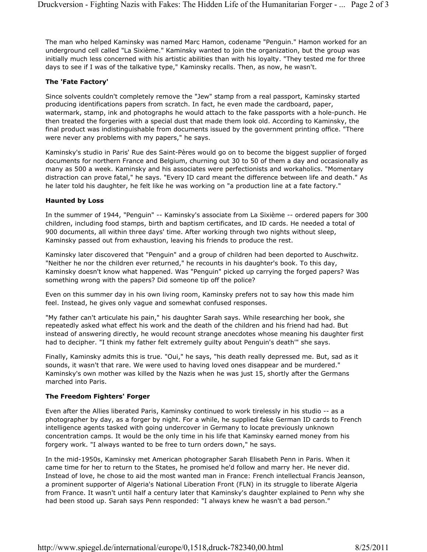The man who helped Kaminsky was named Marc Hamon, codename "Penguin." Hamon worked for an underground cell called "La Sixième." Kaminsky wanted to join the organization, but the group was initially much less concerned with his artistic abilities than with his loyalty. "They tested me for three days to see if I was of the talkative type," Kaminsky recalls. Then, as now, he wasn't.

# **The 'Fate Factory'**

Since solvents couldn't completely remove the "Jew" stamp from a real passport, Kaminsky started producing identifications papers from scratch. In fact, he even made the cardboard, paper, watermark, stamp, ink and photographs he would attach to the fake passports with a hole-punch. He then treated the forgeries with a special dust that made them look old. According to Kaminsky, the final product was indistinguishable from documents issued by the government printing office. "There were never any problems with my papers," he says.

Kaminsky's studio in Paris' Rue des Saint-Pères would go on to become the biggest supplier of forged documents for northern France and Belgium, churning out 30 to 50 of them a day and occasionally as many as 500 a week. Kaminsky and his associates were perfectionists and workaholics. "Momentary distraction can prove fatal," he says. "Every ID card meant the difference between life and death." As he later told his daughter, he felt like he was working on "a production line at a fate factory."

# **Haunted by Loss**

In the summer of 1944, "Penguin" -- Kaminsky's associate from La Sixième -- ordered papers for 300 children, including food stamps, birth and baptism certificates, and ID cards. He needed a total of 900 documents, all within three days' time. After working through two nights without sleep, Kaminsky passed out from exhaustion, leaving his friends to produce the rest.

Kaminsky later discovered that "Penguin" and a group of children had been deported to Auschwitz. "Neither he nor the children ever returned," he recounts in his daughter's book. To this day, Kaminsky doesn't know what happened. Was "Penguin" picked up carrying the forged papers? Was something wrong with the papers? Did someone tip off the police?

Even on this summer day in his own living room, Kaminsky prefers not to say how this made him feel. Instead, he gives only vague and somewhat confused responses.

"My father can't articulate his pain," his daughter Sarah says. While researching her book, she repeatedly asked what effect his work and the death of the children and his friend had had. But instead of answering directly, he would recount strange anecdotes whose meaning his daughter first had to decipher. "I think my father felt extremely guilty about Penguin's death'" she says.

Finally, Kaminsky admits this is true. "Oui," he says, "his death really depressed me. But, sad as it sounds, it wasn't that rare. We were used to having loved ones disappear and be murdered." Kaminsky's own mother was killed by the Nazis when he was just 15, shortly after the Germans marched into Paris.

# **The Freedom Fighters' Forger**

Even after the Allies liberated Paris, Kaminsky continued to work tirelessly in his studio -- as a photographer by day, as a forger by night. For a while, he supplied fake German ID cards to French intelligence agents tasked with going undercover in Germany to locate previously unknown concentration camps. It would be the only time in his life that Kaminsky earned money from his forgery work. "I always wanted to be free to turn orders down," he says.

In the mid-1950s, Kaminsky met American photographer Sarah Elisabeth Penn in Paris. When it came time for her to return to the States, he promised he'd follow and marry her. He never did. Instead of love, he chose to aid the most wanted man in France: French intellectual Francis Jeanson, a prominent supporter of Algeria's National Liberation Front (FLN) in its struggle to liberate Algeria from France. It wasn't until half a century later that Kaminsky's daughter explained to Penn why she had been stood up. Sarah says Penn responded: "I always knew he wasn't a bad person."